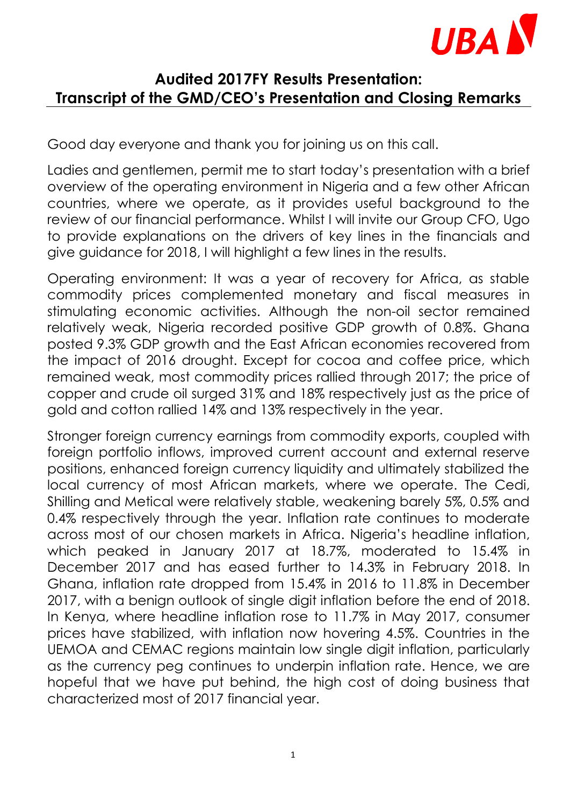

## **Audited 2017FY Results Presentation: Transcript of the GMD/CEO's Presentation and Closing Remarks**

Good day everyone and thank you for joining us on this call.

Ladies and gentlemen, permit me to start today's presentation with a brief overview of the operating environment in Nigeria and a few other African countries, where we operate, as it provides useful background to the review of our financial performance. Whilst I will invite our Group CFO, Ugo to provide explanations on the drivers of key lines in the financials and give guidance for 2018, I will highlight a few lines in the results.

Operating environment: It was a year of recovery for Africa, as stable commodity prices complemented monetary and fiscal measures in stimulating economic activities. Although the non-oil sector remained relatively weak, Nigeria recorded positive GDP growth of 0.8%. Ghana posted 9.3% GDP growth and the East African economies recovered from the impact of 2016 drought. Except for cocoa and coffee price, which remained weak, most commodity prices rallied through 2017; the price of copper and crude oil surged 31% and 18% respectively just as the price of gold and cotton rallied 14% and 13% respectively in the year.

Stronger foreign currency earnings from commodity exports, coupled with foreign portfolio inflows, improved current account and external reserve positions, enhanced foreign currency liquidity and ultimately stabilized the local currency of most African markets, where we operate. The Cedi, Shilling and Metical were relatively stable, weakening barely 5%, 0.5% and 0.4% respectively through the year. Inflation rate continues to moderate across most of our chosen markets in Africa. Nigeria's headline inflation, which peaked in January 2017 at 18.7%, moderated to 15.4% in December 2017 and has eased further to 14.3% in February 2018. In Ghana, inflation rate dropped from 15.4% in 2016 to 11.8% in December 2017, with a benign outlook of single digit inflation before the end of 2018. In Kenya, where headline inflation rose to 11.7% in May 2017, consumer prices have stabilized, with inflation now hovering 4.5%. Countries in the UEMOA and CEMAC regions maintain low single digit inflation, particularly as the currency peg continues to underpin inflation rate. Hence, we are hopeful that we have put behind, the high cost of doing business that characterized most of 2017 financial year.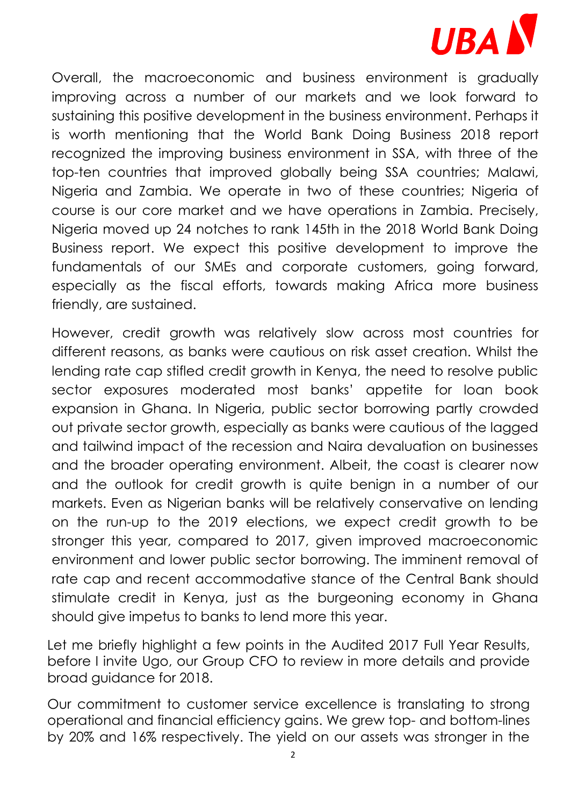

Overall, the macroeconomic and business environment is gradually improving across a number of our markets and we look forward to sustaining this positive development in the business environment. Perhaps it is worth mentioning that the World Bank Doing Business 2018 report recognized the improving business environment in SSA, with three of the top-ten countries that improved globally being SSA countries; Malawi, Nigeria and Zambia. We operate in two of these countries; Nigeria of course is our core market and we have operations in Zambia. Precisely, Nigeria moved up 24 notches to rank 145th in the 2018 World Bank Doing Business report. We expect this positive development to improve the fundamentals of our SMEs and corporate customers, going forward, especially as the fiscal efforts, towards making Africa more business friendly, are sustained.

However, credit growth was relatively slow across most countries for different reasons, as banks were cautious on risk asset creation. Whilst the lending rate cap stifled credit growth in Kenya, the need to resolve public sector exposures moderated most banks' appetite for loan book expansion in Ghana. In Nigeria, public sector borrowing partly crowded out private sector growth, especially as banks were cautious of the lagged and tailwind impact of the recession and Naira devaluation on businesses and the broader operating environment. Albeit, the coast is clearer now and the outlook for credit growth is quite benign in a number of our markets. Even as Nigerian banks will be relatively conservative on lending on the run-up to the 2019 elections, we expect credit growth to be stronger this year, compared to 2017, given improved macroeconomic environment and lower public sector borrowing. The imminent removal of rate cap and recent accommodative stance of the Central Bank should stimulate credit in Kenya, just as the burgeoning economy in Ghana should give impetus to banks to lend more this year.

Let me briefly highlight a few points in the Audited 2017 Full Year Results, before I invite Ugo, our Group CFO to review in more details and provide broad guidance for 2018.

Our commitment to customer service excellence is translating to strong operational and financial efficiency gains. We grew top- and bottom-lines by 20% and 16% respectively. The yield on our assets was stronger in the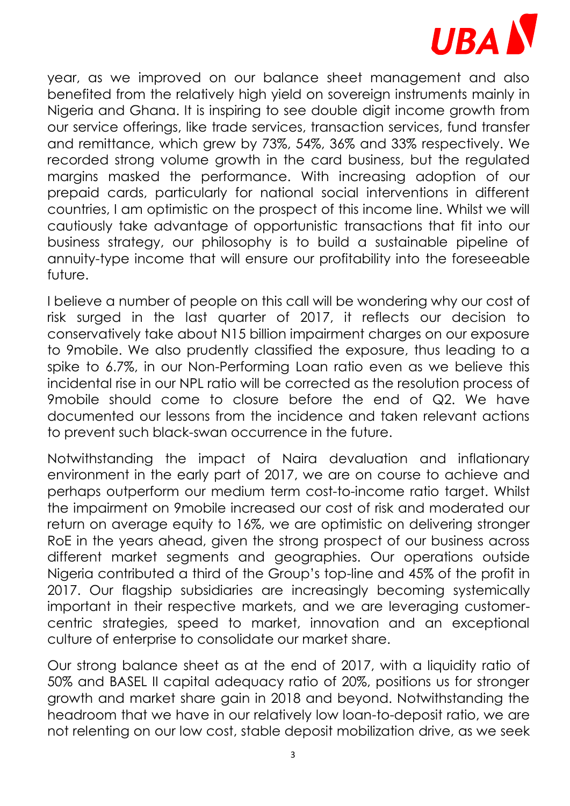

year, as we improved on our balance sheet management and also benefited from the relatively high yield on sovereign instruments mainly in Nigeria and Ghana. It is inspiring to see double digit income growth from our service offerings, like trade services, transaction services, fund transfer and remittance, which grew by 73%, 54%, 36% and 33% respectively. We recorded strong volume growth in the card business, but the regulated margins masked the performance. With increasing adoption of our prepaid cards, particularly for national social interventions in different countries, I am optimistic on the prospect of this income line. Whilst we will cautiously take advantage of opportunistic transactions that fit into our business strategy, our philosophy is to build a sustainable pipeline of annuity-type income that will ensure our profitability into the foreseeable future.

I believe a number of people on this call will be wondering why our cost of risk surged in the last quarter of 2017, it reflects our decision to conservatively take about N15 billion impairment charges on our exposure to 9mobile. We also prudently classified the exposure, thus leading to a spike to 6.7%, in our Non-Performing Loan ratio even as we believe this incidental rise in our NPL ratio will be corrected as the resolution process of 9mobile should come to closure before the end of Q2. We have documented our lessons from the incidence and taken relevant actions to prevent such black-swan occurrence in the future.

Notwithstanding the impact of Naira devaluation and inflationary environment in the early part of 2017, we are on course to achieve and perhaps outperform our medium term cost-to-income ratio target. Whilst the impairment on 9mobile increased our cost of risk and moderated our return on average equity to 16%, we are optimistic on delivering stronger RoE in the years ahead, given the strong prospect of our business across different market segments and geographies. Our operations outside Nigeria contributed a third of the Group's top-line and 45% of the profit in 2017. Our flagship subsidiaries are increasingly becoming systemically important in their respective markets, and we are leveraging customercentric strategies, speed to market, innovation and an exceptional culture of enterprise to consolidate our market share.

Our strong balance sheet as at the end of 2017, with a liquidity ratio of 50% and BASEL II capital adequacy ratio of 20%, positions us for stronger growth and market share gain in 2018 and beyond. Notwithstanding the headroom that we have in our relatively low loan-to-deposit ratio, we are not relenting on our low cost, stable deposit mobilization drive, as we seek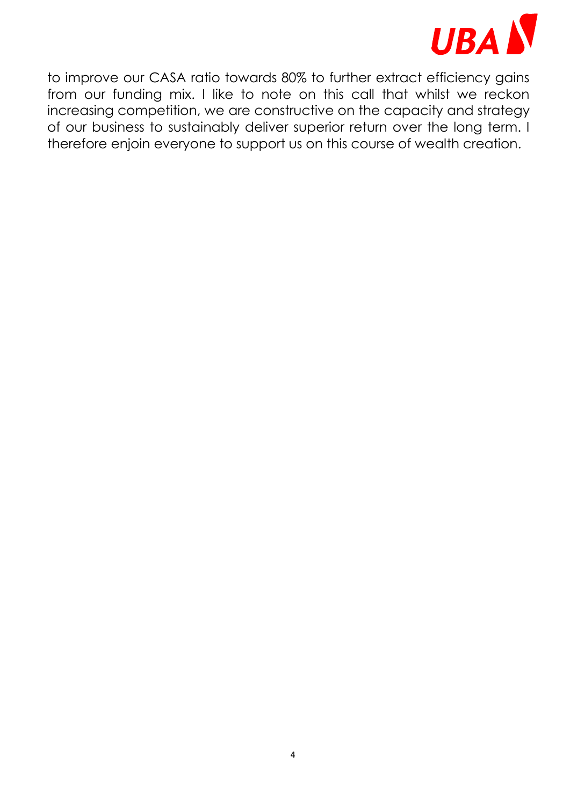

to improve our CASA ratio towards 80% to further extract efficiency gains from our funding mix. I like to note on this call that whilst we reckon increasing competition, we are constructive on the capacity and strategy of our business to sustainably deliver superior return over the long term. I therefore enjoin everyone to support us on this course of wealth creation.